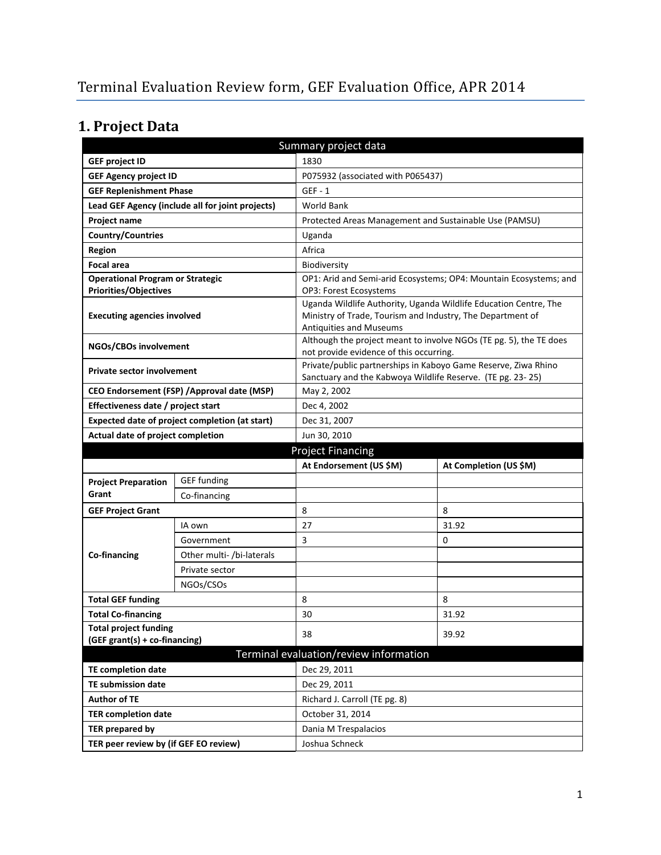# **1. Project Data**

| Summary project data                                          |                                                  |                                                                                       |                                                                    |  |
|---------------------------------------------------------------|--------------------------------------------------|---------------------------------------------------------------------------------------|--------------------------------------------------------------------|--|
| <b>GEF project ID</b>                                         |                                                  | 1830                                                                                  |                                                                    |  |
| <b>GEF Agency project ID</b>                                  |                                                  | P075932 (associated with P065437)                                                     |                                                                    |  |
| <b>GEF Replenishment Phase</b>                                |                                                  | $GEF - 1$                                                                             |                                                                    |  |
|                                                               | Lead GEF Agency (include all for joint projects) | World Bank                                                                            |                                                                    |  |
| Project name                                                  |                                                  | Protected Areas Management and Sustainable Use (PAMSU)                                |                                                                    |  |
| <b>Country/Countries</b>                                      |                                                  | Uganda                                                                                |                                                                    |  |
| Region                                                        |                                                  | Africa                                                                                |                                                                    |  |
| <b>Focal area</b>                                             |                                                  | Biodiversity                                                                          |                                                                    |  |
| <b>Operational Program or Strategic</b>                       |                                                  |                                                                                       | OP1: Arid and Semi-arid Ecosystems; OP4: Mountain Ecosystems; and  |  |
| <b>Priorities/Objectives</b>                                  |                                                  | OP3: Forest Ecosystems                                                                |                                                                    |  |
| <b>Executing agencies involved</b>                            |                                                  | Ministry of Trade, Tourism and Industry, The Department of<br>Antiquities and Museums | Uganda Wildlife Authority, Uganda Wildlife Education Centre, The   |  |
| NGOs/CBOs involvement                                         |                                                  | not provide evidence of this occurring.                                               | Although the project meant to involve NGOs (TE pg. 5), the TE does |  |
| <b>Private sector involvement</b>                             |                                                  | Sanctuary and the Kabwoya Wildlife Reserve. (TE pg. 23-25)                            | Private/public partnerships in Kaboyo Game Reserve, Ziwa Rhino     |  |
|                                                               | CEO Endorsement (FSP) / Approval date (MSP)      | May 2, 2002                                                                           |                                                                    |  |
| Effectiveness date / project start                            |                                                  | Dec 4, 2002                                                                           |                                                                    |  |
|                                                               | Expected date of project completion (at start)   | Dec 31, 2007                                                                          |                                                                    |  |
| Actual date of project completion                             |                                                  | Jun 30, 2010                                                                          |                                                                    |  |
|                                                               |                                                  | <b>Project Financing</b>                                                              |                                                                    |  |
|                                                               |                                                  |                                                                                       |                                                                    |  |
|                                                               |                                                  | At Endorsement (US \$M)                                                               | At Completion (US \$M)                                             |  |
| <b>Project Preparation</b>                                    | <b>GEF funding</b>                               |                                                                                       |                                                                    |  |
| Grant                                                         | Co-financing                                     |                                                                                       |                                                                    |  |
| <b>GEF Project Grant</b>                                      |                                                  | 8                                                                                     | 8                                                                  |  |
|                                                               | IA own                                           | 27                                                                                    | 31.92                                                              |  |
|                                                               | Government                                       | 3                                                                                     | 0                                                                  |  |
| Co-financing                                                  | Other multi- /bi-laterals                        |                                                                                       |                                                                    |  |
|                                                               | Private sector                                   |                                                                                       |                                                                    |  |
|                                                               | NGOs/CSOs                                        |                                                                                       |                                                                    |  |
| <b>Total GEF funding</b>                                      |                                                  | 8                                                                                     | 8                                                                  |  |
| <b>Total Co-financing</b>                                     |                                                  | 30                                                                                    | 31.92                                                              |  |
| <b>Total project funding</b><br>(GEF grant(s) + co-financing) |                                                  | 38                                                                                    | 39.92                                                              |  |
|                                                               |                                                  | Terminal evaluation/review information                                                |                                                                    |  |
| <b>TE completion date</b>                                     |                                                  | Dec 29, 2011                                                                          |                                                                    |  |
| <b>TE submission date</b>                                     |                                                  | Dec 29, 2011                                                                          |                                                                    |  |
| <b>Author of TE</b>                                           |                                                  | Richard J. Carroll (TE pg. 8)                                                         |                                                                    |  |
| <b>TER completion date</b>                                    |                                                  | October 31, 2014                                                                      |                                                                    |  |
| <b>TER prepared by</b>                                        |                                                  | Dania M Trespalacios                                                                  |                                                                    |  |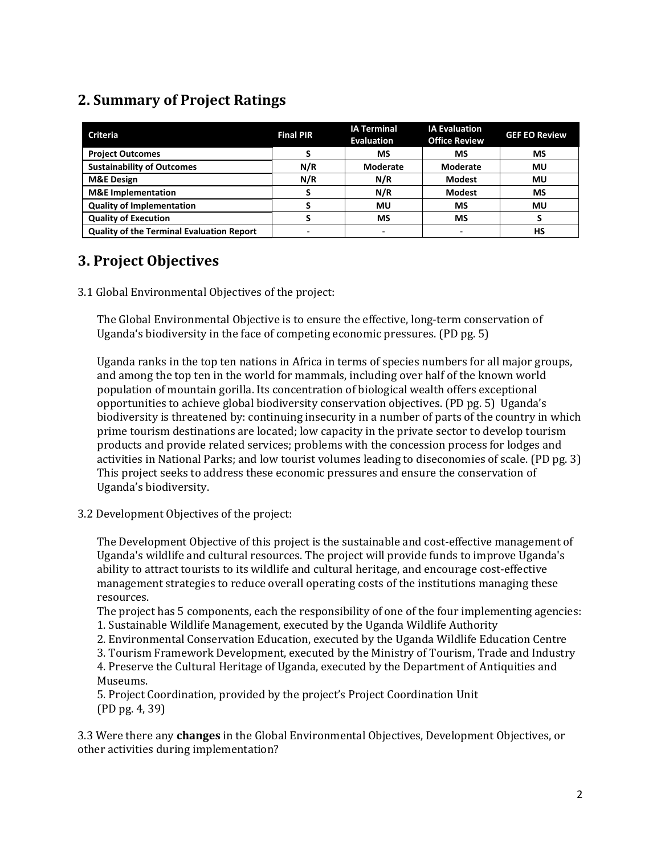### **2. Summary of Project Ratings**

| <b>Criteria</b>                                  | <b>Final PIR</b> | <b>IA Terminal</b><br><b>Evaluation</b> | <b>IA Evaluation</b><br><b>Office Review</b> | <b>GEF EO Review</b> |
|--------------------------------------------------|------------------|-----------------------------------------|----------------------------------------------|----------------------|
| <b>Project Outcomes</b>                          |                  | МS                                      | МS                                           | <b>MS</b>            |
| <b>Sustainability of Outcomes</b>                | N/R              | Moderate                                | <b>Moderate</b>                              | MU                   |
| <b>M&amp;E Design</b>                            | N/R              | N/R                                     | <b>Modest</b>                                | Mυ                   |
| <b>M&amp;E</b> Implementation                    |                  | N/R                                     | <b>Modest</b>                                | <b>MS</b>            |
| <b>Quality of Implementation</b>                 |                  | MU                                      | МS                                           | MU                   |
| <b>Quality of Execution</b>                      |                  | <b>MS</b>                               | MS                                           |                      |
| <b>Quality of the Terminal Evaluation Report</b> |                  |                                         |                                              | НS                   |

### **3. Project Objectives**

3.1 Global Environmental Objectives of the project:

The Global Environmental Objective is to ensure the effective, long-term conservation of Uganda's biodiversity in the face of competing economic pressures. (PD pg. 5)

Uganda ranks in the top ten nations in Africa in terms of species numbers for all major groups, and among the top ten in the world for mammals, including over half of the known world population of mountain gorilla. Its concentration of biological wealth offers exceptional opportunities to achieve global biodiversity conservation objectives. (PD pg. 5) Uganda's biodiversity is threatened by: continuing insecurity in a number of parts of the country in which prime tourism destinations are located; low capacity in the private sector to develop tourism products and provide related services; problems with the concession process for lodges and activities in National Parks; and low tourist volumes leading to diseconomies of scale. (PD pg. 3) This project seeks to address these economic pressures and ensure the conservation of Uganda's biodiversity.

3.2 Development Objectives of the project:

The Development Objective of this project is the sustainable and cost-effective management of Uganda's wildlife and cultural resources. The project will provide funds to improve Uganda's ability to attract tourists to its wildlife and cultural heritage, and encourage cost-effective management strategies to reduce overall operating costs of the institutions managing these resources.

The project has 5 components, each the responsibility of one of the four implementing agencies: 1. Sustainable Wildlife Management, executed by the Uganda Wildlife Authority

- 2. Environmental Conservation Education, executed by the Uganda Wildlife Education Centre
- 3. Tourism Framework Development, executed by the Ministry of Tourism, Trade and Industry

4. Preserve the Cultural Heritage of Uganda, executed by the Department of Antiquities and Museums.

5. Project Coordination, provided by the project's Project Coordination Unit (PD pg. 4, 39)

3.3 Were there any **changes** in the Global Environmental Objectives, Development Objectives, or other activities during implementation?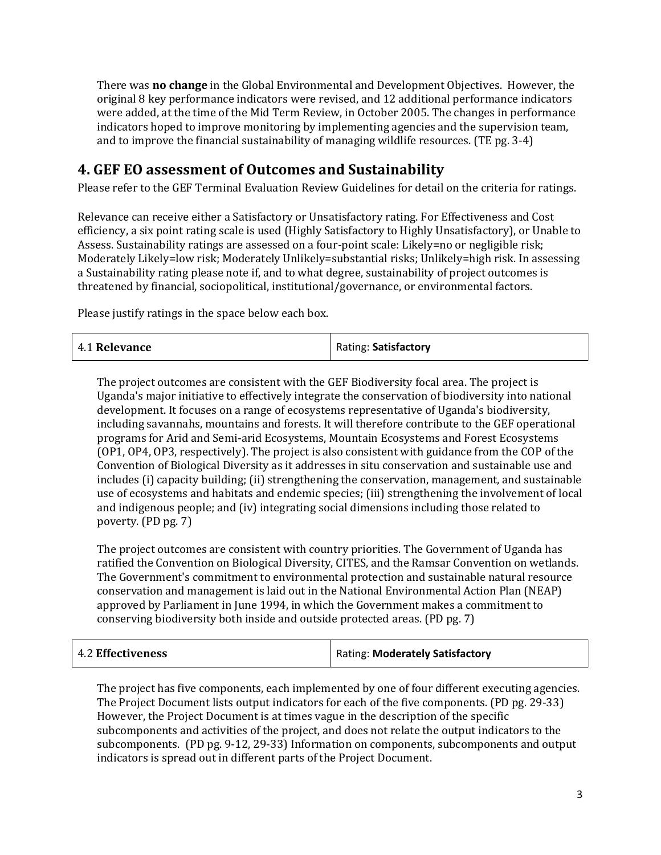There was **no change** in the Global Environmental and Development Objectives. However, the original 8 key performance indicators were revised, and 12 additional performance indicators were added, at the time of the Mid Term Review, in October 2005. The changes in performance indicators hoped to improve monitoring by implementing agencies and the supervision team, and to improve the financial sustainability of managing wildlife resources. (TE pg. 3-4)

#### **4. GEF EO assessment of Outcomes and Sustainability**

Please refer to the GEF Terminal Evaluation Review Guidelines for detail on the criteria for ratings.

Relevance can receive either a Satisfactory or Unsatisfactory rating. For Effectiveness and Cost efficiency, a six point rating scale is used (Highly Satisfactory to Highly Unsatisfactory), or Unable to Assess. Sustainability ratings are assessed on a four-point scale: Likely=no or negligible risk; Moderately Likely=low risk; Moderately Unlikely=substantial risks; Unlikely=high risk. In assessing a Sustainability rating please note if, and to what degree, sustainability of project outcomes is threatened by financial, sociopolitical, institutional/governance, or environmental factors.

Please justify ratings in the space below each box.

| 4.1 Relevance | Rating: Satisfactory |
|---------------|----------------------|
|---------------|----------------------|

The project outcomes are consistent with the GEF Biodiversity focal area. The project is Uganda's major initiative to effectively integrate the conservation of biodiversity into national development. It focuses on a range of ecosystems representative of Uganda's biodiversity, including savannahs, mountains and forests. It will therefore contribute to the GEF operational programs for Arid and Semi-arid Ecosystems, Mountain Ecosystems and Forest Ecosystems (OP1, OP4, OP3, respectively). The project is also consistent with guidance from the COP of the Convention of Biological Diversity as it addresses in situ conservation and sustainable use and includes (i) capacity building; (ii) strengthening the conservation, management, and sustainable use of ecosystems and habitats and endemic species; (iii) strengthening the involvement of local and indigenous people; and (iv) integrating social dimensions including those related to poverty. (PD pg. 7)

The project outcomes are consistent with country priorities. The Government of Uganda has ratified the Convention on Biological Diversity, CITES, and the Ramsar Convention on wetlands. The Government's commitment to environmental protection and sustainable natural resource conservation and management is laid out in the National Environmental Action Plan (NEAP) approved by Parliament in June 1994, in which the Government makes a commitment to conserving biodiversity both inside and outside protected areas. (PD pg. 7)

| 4.2 Effectiveness | Rating: Moderately Satisfactory |
|-------------------|---------------------------------|
|-------------------|---------------------------------|

The project has five components, each implemented by one of four different executing agencies. The Project Document lists output indicators for each of the five components. (PD pg. 29-33) However, the Project Document is at times vague in the description of the specific subcomponents and activities of the project, and does not relate the output indicators to the subcomponents. (PD pg. 9-12, 29-33) Information on components, subcomponents and output indicators is spread out in different parts of the Project Document.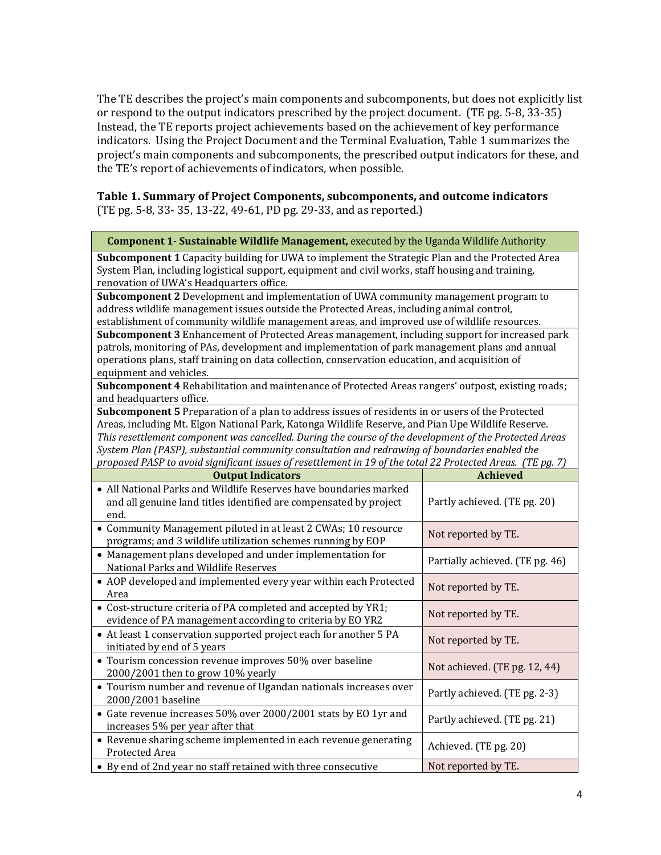The TE describes the project's main components and subcomponents, but does not explicitly list or respond to the output indicators prescribed by the project document. (TE pg. 5-8, 33-35) Instead, the TE reports project achievements based on the achievement of key performance indicators. Using the Project Document and the Terminal Evaluation, Table 1 summarizes the project's main components and subcomponents, the prescribed output indicators for these, and the TE's report of achievements of indicators, when possible.

#### **Table 1. Summary of Project Components, subcomponents, and outcome indicators** (TE pg. 5-8, 33- 35, 13-22, 49-61, PD pg. 29-33, and as reported.)

| <b>Component 1- Sustainable Wildlife Management, executed by the Uganda Wildlife Authority</b>                                                                                                                                                   |                                 |  |
|--------------------------------------------------------------------------------------------------------------------------------------------------------------------------------------------------------------------------------------------------|---------------------------------|--|
| Subcomponent 1 Capacity building for UWA to implement the Strategic Plan and the Protected Area<br>System Plan, including logistical support, equipment and civil works, staff housing and training,<br>renovation of UWA's Headquarters office. |                                 |  |
| Subcomponent 2 Development and implementation of UWA community management program to                                                                                                                                                             |                                 |  |
| address wildlife management issues outside the Protected Areas, including animal control,                                                                                                                                                        |                                 |  |
| establishment of community wildlife management areas, and improved use of wildlife resources.                                                                                                                                                    |                                 |  |
| Subcomponent 3 Enhancement of Protected Areas management, including support for increased park                                                                                                                                                   |                                 |  |
| patrols, monitoring of PAs, development and implementation of park management plans and annual                                                                                                                                                   |                                 |  |
| operations plans, staff training on data collection, conservation education, and acquisition of                                                                                                                                                  |                                 |  |
| equipment and vehicles.                                                                                                                                                                                                                          |                                 |  |
| Subcomponent 4 Rehabilitation and maintenance of Protected Areas rangers' outpost, existing roads;                                                                                                                                               |                                 |  |
| and headquarters office.                                                                                                                                                                                                                         |                                 |  |
| Subcomponent 5 Preparation of a plan to address issues of residents in or users of the Protected                                                                                                                                                 |                                 |  |
| Areas, including Mt. Elgon National Park, Katonga Wildlife Reserve, and Pian Upe Wildlife Reserve.                                                                                                                                               |                                 |  |
| This resettlement component was cancelled. During the course of the development of the Protected Areas                                                                                                                                           |                                 |  |
| System Plan (PASP), substantial community consultation and redrawing of boundaries enabled the                                                                                                                                                   |                                 |  |
| proposed PASP to avoid significant issues of resettlement in 19 of the total 22 Protected Areas. (TE pg. 7)                                                                                                                                      |                                 |  |
| <b>Output Indicators</b>                                                                                                                                                                                                                         | <b>Achieved</b>                 |  |
| • All National Parks and Wildlife Reserves have boundaries marked<br>and all genuine land titles identified are compensated by project<br>end.                                                                                                   | Partly achieved. (TE pg. 20)    |  |
| • Community Management piloted in at least 2 CWAs; 10 resource                                                                                                                                                                                   |                                 |  |
| programs; and 3 wildlife utilization schemes running by EOP                                                                                                                                                                                      | Not reported by TE.             |  |
| • Management plans developed and under implementation for<br>National Parks and Wildlife Reserves                                                                                                                                                | Partially achieved. (TE pg. 46) |  |
| • AOP developed and implemented every year within each Protected<br>Area                                                                                                                                                                         | Not reported by TE.             |  |
| • Cost-structure criteria of PA completed and accepted by YR1;<br>evidence of PA management according to criteria by EO YR2                                                                                                                      | Not reported by TE.             |  |
| • At least 1 conservation supported project each for another 5 PA<br>initiated by end of 5 years                                                                                                                                                 | Not reported by TE.             |  |
| • Tourism concession revenue improves 50% over baseline<br>2000/2001 then to grow 10% yearly                                                                                                                                                     | Not achieved. (TE pg. 12, 44)   |  |
| • Tourism number and revenue of Ugandan nationals increases over<br>2000/2001 baseline                                                                                                                                                           | Partly achieved. (TE pg. 2-3)   |  |
| • Gate revenue increases 50% over 2000/2001 stats by EO 1yr and<br>increases 5% per year after that                                                                                                                                              | Partly achieved. (TE pg. 21)    |  |
| • Revenue sharing scheme implemented in each revenue generating<br>Protected Area                                                                                                                                                                | Achieved. (TE pg. 20)           |  |

• By end of 2nd year no staff retained with three consecutive  $\blacksquare$  Not reported by TE.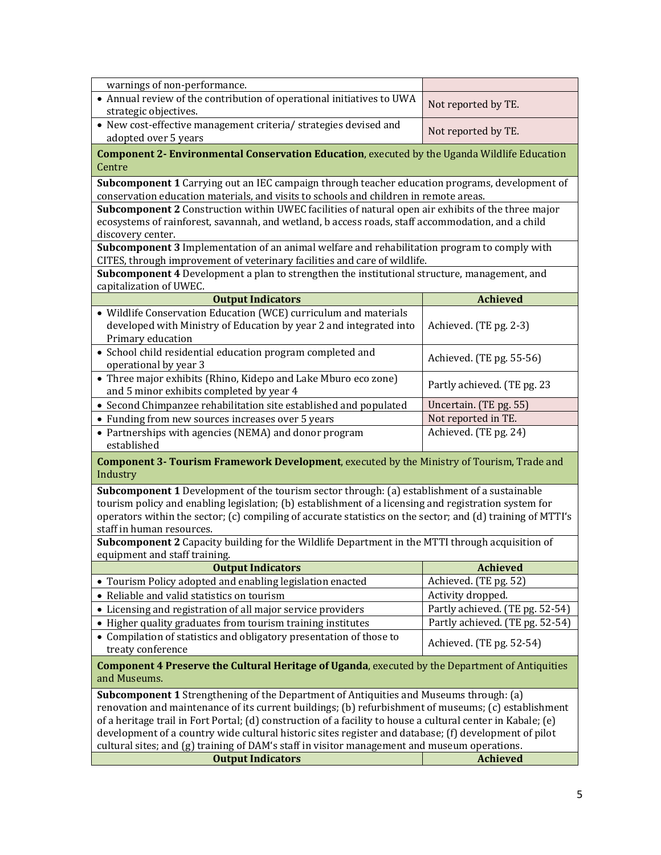| warnings of non-performance.                                                                                                                                                                          |                                          |  |
|-------------------------------------------------------------------------------------------------------------------------------------------------------------------------------------------------------|------------------------------------------|--|
| • Annual review of the contribution of operational initiatives to UWA                                                                                                                                 | Not reported by TE.                      |  |
| strategic objectives.                                                                                                                                                                                 |                                          |  |
| • New cost-effective management criteria/ strategies devised and<br>adopted over 5 years                                                                                                              | Not reported by TE.                      |  |
| <b>Component 2- Environmental Conservation Education, executed by the Uganda Wildlife Education</b>                                                                                                   |                                          |  |
| Centre                                                                                                                                                                                                |                                          |  |
| Subcomponent 1 Carrying out an IEC campaign through teacher education programs, development of                                                                                                        |                                          |  |
| conservation education materials, and visits to schools and children in remote areas.                                                                                                                 |                                          |  |
| Subcomponent 2 Construction within UWEC facilities of natural open air exhibits of the three major                                                                                                    |                                          |  |
| ecosystems of rainforest, savannah, and wetland, b access roads, staff accommodation, and a child                                                                                                     |                                          |  |
| discovery center.                                                                                                                                                                                     |                                          |  |
| Subcomponent 3 Implementation of an animal welfare and rehabilitation program to comply with                                                                                                          |                                          |  |
| CITES, through improvement of veterinary facilities and care of wildlife.                                                                                                                             |                                          |  |
| Subcomponent 4 Development a plan to strengthen the institutional structure, management, and                                                                                                          |                                          |  |
| capitalization of UWEC.<br><b>Output Indicators</b>                                                                                                                                                   | <b>Achieved</b>                          |  |
| • Wildlife Conservation Education (WCE) curriculum and materials                                                                                                                                      |                                          |  |
| developed with Ministry of Education by year 2 and integrated into                                                                                                                                    | Achieved. (TE pg. 2-3)                   |  |
| Primary education                                                                                                                                                                                     |                                          |  |
| • School child residential education program completed and                                                                                                                                            |                                          |  |
| operational by year 3                                                                                                                                                                                 | Achieved. (TE pg. 55-56)                 |  |
| • Three major exhibits (Rhino, Kidepo and Lake Mburo eco zone)                                                                                                                                        |                                          |  |
| and 5 minor exhibits completed by year 4                                                                                                                                                              | Partly achieved. (TE pg. 23              |  |
| • Second Chimpanzee rehabilitation site established and populated                                                                                                                                     | Uncertain. (TE pg. 55)                   |  |
| • Funding from new sources increases over 5 years                                                                                                                                                     | Not reported in TE.                      |  |
| • Partnerships with agencies (NEMA) and donor program<br>established                                                                                                                                  | Achieved. (TE pg. 24)                    |  |
| <b>Component 3- Tourism Framework Development</b> , executed by the Ministry of Tourism, Trade and<br>Industry                                                                                        |                                          |  |
| Subcomponent 1 Development of the tourism sector through: (a) establishment of a sustainable                                                                                                          |                                          |  |
| tourism policy and enabling legislation; (b) establishment of a licensing and registration system for                                                                                                 |                                          |  |
| operators within the sector; (c) compiling of accurate statistics on the sector; and (d) training of MTTI's                                                                                           |                                          |  |
| staff in human resources.                                                                                                                                                                             |                                          |  |
| Subcomponent 2 Capacity building for the Wildlife Department in the MTTI through acquisition of                                                                                                       |                                          |  |
| equipment and staff training.                                                                                                                                                                         |                                          |  |
| <b>Output Indicators</b><br>• Tourism Policy adopted and enabling legislation enacted                                                                                                                 | <b>Achieved</b><br>Achieved. (TE pg. 52) |  |
| • Reliable and valid statistics on tourism                                                                                                                                                            | Activity dropped.                        |  |
| • Licensing and registration of all major service providers                                                                                                                                           | Partly achieved. (TE pg. 52-54)          |  |
| • Higher quality graduates from tourism training institutes                                                                                                                                           | Partly achieved. (TE pg. 52-54)          |  |
| • Compilation of statistics and obligatory presentation of those to                                                                                                                                   |                                          |  |
| treaty conference                                                                                                                                                                                     | Achieved. (TE pg. 52-54)                 |  |
| <b>Component 4 Preserve the Cultural Heritage of Uganda</b> , executed by the Department of Antiquities                                                                                               |                                          |  |
| and Museums.                                                                                                                                                                                          |                                          |  |
| Subcomponent 1 Strengthening of the Department of Antiquities and Museums through: (a)                                                                                                                |                                          |  |
| renovation and maintenance of its current buildings; (b) refurbishment of museums; (c) establishment                                                                                                  |                                          |  |
| of a heritage trail in Fort Portal; (d) construction of a facility to house a cultural center in Kabale; (e)                                                                                          |                                          |  |
| development of a country wide cultural historic sites register and database; (f) development of pilot<br>cultural sites; and (g) training of DAM's staff in visitor management and museum operations. |                                          |  |
| <b>Output Indicators</b>                                                                                                                                                                              | <b>Achieved</b>                          |  |
|                                                                                                                                                                                                       |                                          |  |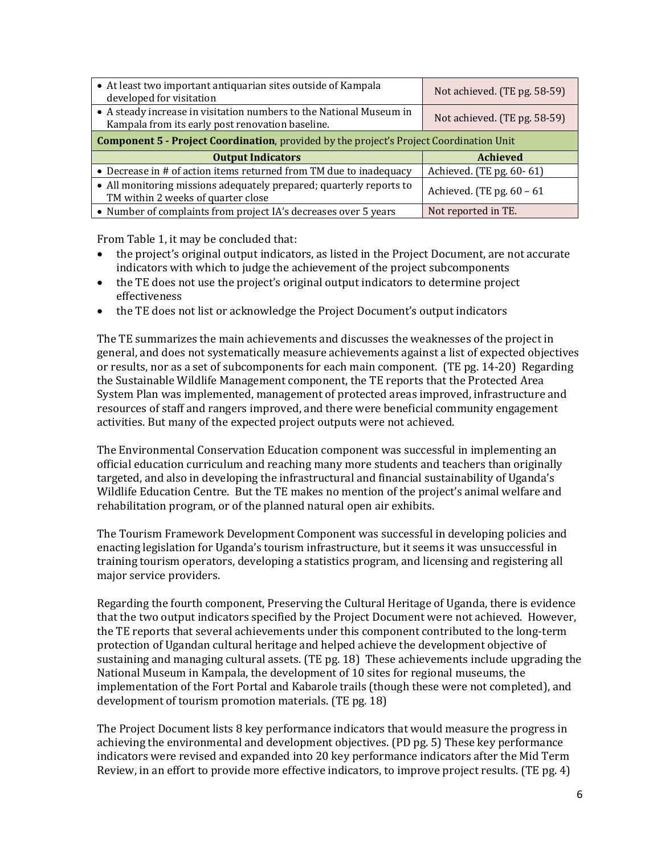| • At least two important antiquarian sites outside of Kampala<br>developed for visitation                               | Not achieved. (TE pg. 58-59) |  |
|-------------------------------------------------------------------------------------------------------------------------|------------------------------|--|
| • A steady increase in visitation numbers to the National Museum in<br>Kampala from its early post renovation baseline. | Not achieved. (TE pg. 58-59) |  |
| <b>Component 5 - Project Coordination</b> , provided by the project's Project Coordination Unit                         |                              |  |
| <b>Output Indicators</b>                                                                                                | <b>Achieved</b>              |  |
| • Decrease in # of action items returned from TM due to inadequacy                                                      | Achieved. (TE pg. 60-61)     |  |
| • All monitoring missions adequately prepared; quarterly reports to<br>TM within 2 weeks of quarter close               | Achieved. (TE pg. $60 - 61$  |  |
| • Number of complaints from project IA's decreases over 5 years                                                         | Not reported in TE.          |  |

From Table 1, it may be concluded that:

- the project's original output indicators, as listed in the Project Document, are not accurate indicators with which to judge the achievement of the project subcomponents
- the TE does not use the project's original output indicators to determine project effectiveness
- the TE does not list or acknowledge the Project Document's output indicators

The TE summarizes the main achievements and discusses the weaknesses of the project in general, and does not systematically measure achievements against a list of expected objectives or results, nor as a set of subcomponents for each main component. (TE pg. 14-20) Regarding the Sustainable Wildlife Management component, the TE reports that the Protected Area System Plan was implemented, management of protected areas improved, infrastructure and resources of staff and rangers improved, and there were beneficial community engagement activities. But many of the expected project outputs were not achieved.

The Environmental Conservation Education component was successful in implementing an official education curriculum and reaching many more students and teachers than originally targeted, and also in developing the infrastructural and financial sustainability of Uganda's Wildlife Education Centre. But the TE makes no mention of the project's animal welfare and rehabilitation program, or of the planned natural open air exhibits.

The Tourism Framework Development Component was successful in developing policies and enacting legislation for Uganda's tourism infrastructure, but it seems it was unsuccessful in training tourism operators, developing a statistics program, and licensing and registering all major service providers.

Regarding the fourth component, Preserving the Cultural Heritage of Uganda, there is evidence that the two output indicators specified by the Project Document were not achieved. However, the TE reports that several achievements under this component contributed to the long-term protection of Ugandan cultural heritage and helped achieve the development objective of sustaining and managing cultural assets. (TE pg. 18) These achievements include upgrading the National Museum in Kampala, the development of 10 sites for regional museums, the implementation of the Fort Portal and Kabarole trails (though these were not completed), and development of tourism promotion materials. (TE pg. 18)

The Project Document lists 8 key performance indicators that would measure the progress in achieving the environmental and development objectives. (PD pg. 5) These key performance indicators were revised and expanded into 20 key performance indicators after the Mid Term Review, in an effort to provide more effective indicators, to improve project results. (TE pg. 4)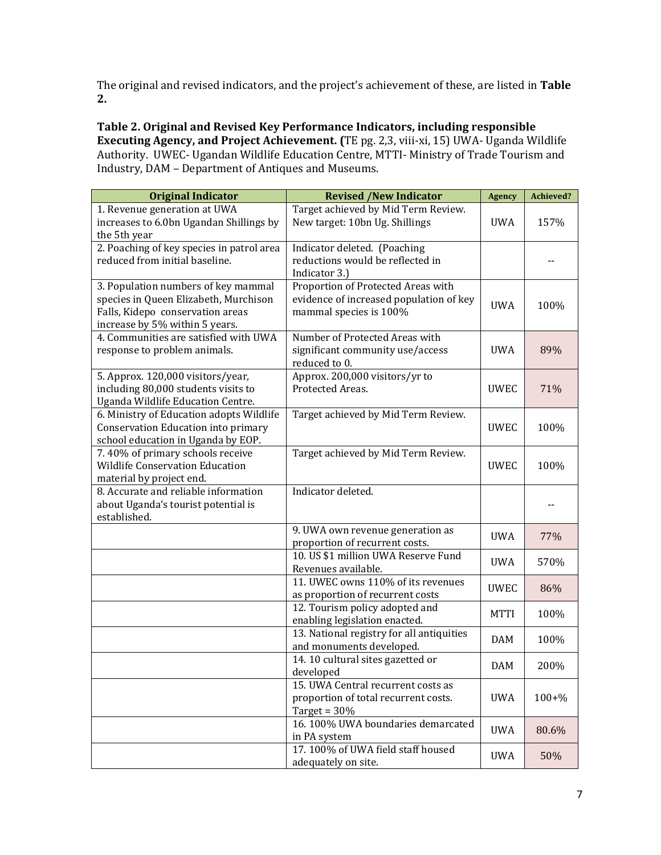The original and revised indicators, and the project's achievement of these, are listed in **Table 2.**

**Table 2. Original and Revised Key Performance Indicators, including responsible Executing Agency, and Project Achievement. (**TE pg. 2,3, viii-xi, 15) UWA- Uganda Wildlife Authority. UWEC- Ugandan Wildlife Education Centre, MTTI- Ministry of Trade Tourism and Industry, DAM – Department of Antiques and Museums.

| <b>Original Indicator</b>                                                                                                                          | <b>Revised /New Indicator</b>                                                                           | <b>Agency</b> | Achieved? |
|----------------------------------------------------------------------------------------------------------------------------------------------------|---------------------------------------------------------------------------------------------------------|---------------|-----------|
| 1. Revenue generation at UWA<br>increases to 6.0bn Ugandan Shillings by<br>the 5th year                                                            | Target achieved by Mid Term Review.<br>New target: 10bn Ug. Shillings                                   | <b>UWA</b>    | 157%      |
| 2. Poaching of key species in patrol area<br>reduced from initial baseline.                                                                        | Indicator deleted. (Poaching<br>reductions would be reflected in<br>Indicator 3.)                       |               |           |
| 3. Population numbers of key mammal<br>species in Queen Elizabeth, Murchison<br>Falls, Kidepo conservation areas<br>increase by 5% within 5 years. | Proportion of Protected Areas with<br>evidence of increased population of key<br>mammal species is 100% | <b>UWA</b>    | 100%      |
| 4. Communities are satisfied with UWA<br>response to problem animals.                                                                              | Number of Protected Areas with<br>significant community use/access<br>reduced to 0.                     | <b>UWA</b>    | 89%       |
| 5. Approx. 120,000 visitors/year,<br>including 80,000 students visits to<br>Uganda Wildlife Education Centre.                                      | Approx. 200,000 visitors/yr to<br>Protected Areas.                                                      | <b>UWEC</b>   | 71%       |
| 6. Ministry of Education adopts Wildlife<br>Conservation Education into primary<br>school education in Uganda by EOP.                              | Target achieved by Mid Term Review.                                                                     | <b>UWEC</b>   | 100%      |
| 7.40% of primary schools receive<br><b>Wildlife Conservation Education</b><br>material by project end.                                             | Target achieved by Mid Term Review.                                                                     | <b>UWEC</b>   | 100%      |
| 8. Accurate and reliable information<br>about Uganda's tourist potential is<br>established.                                                        | Indicator deleted.                                                                                      |               |           |
|                                                                                                                                                    | 9. UWA own revenue generation as<br>proportion of recurrent costs.                                      | <b>UWA</b>    | 77%       |
|                                                                                                                                                    | 10. US \$1 million UWA Reserve Fund<br>Revenues available.                                              | <b>UWA</b>    | 570%      |
|                                                                                                                                                    | 11. UWEC owns 110% of its revenues<br>as proportion of recurrent costs                                  | <b>UWEC</b>   | 86%       |
|                                                                                                                                                    | 12. Tourism policy adopted and<br>enabling legislation enacted.                                         | <b>MTTI</b>   | 100%      |
|                                                                                                                                                    | 13. National registry for all antiquities<br>and monuments developed.                                   | <b>DAM</b>    | 100%      |
|                                                                                                                                                    | 14.10 cultural sites gazetted or<br>developed                                                           | <b>DAM</b>    | 200%      |
|                                                                                                                                                    | 15. UWA Central recurrent costs as<br>proportion of total recurrent costs.<br>Target = $30%$            | <b>UWA</b>    | $100 + %$ |
|                                                                                                                                                    | 16.100% UWA boundaries demarcated<br>in PA system                                                       | <b>UWA</b>    | 80.6%     |
|                                                                                                                                                    | 17.100% of UWA field staff housed<br>adequately on site.                                                | <b>UWA</b>    | 50%       |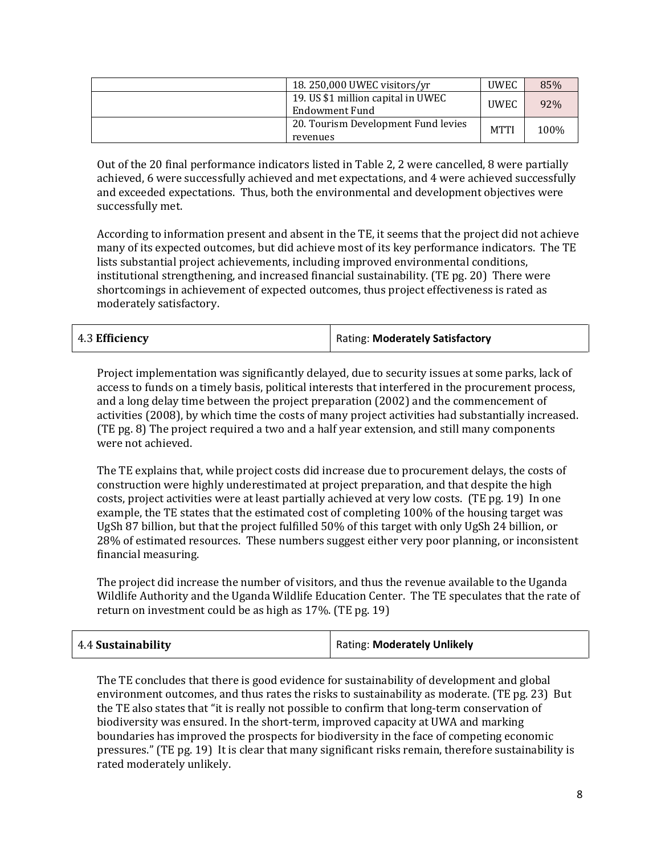| 18.250,000 UWEC visitors/yr                          | <b>UWEC</b> | 85%  |
|------------------------------------------------------|-------------|------|
| 19. US \$1 million capital in UWEC<br>Endowment Fund | <b>UWEC</b> | 92%  |
| 20. Tourism Development Fund levies<br>revenues      | <b>MTTI</b> | 100% |

Out of the 20 final performance indicators listed in Table 2, 2 were cancelled, 8 were partially achieved, 6 were successfully achieved and met expectations, and 4 were achieved successfully and exceeded expectations. Thus, both the environmental and development objectives were successfully met.

According to information present and absent in the TE, it seems that the project did not achieve many of its expected outcomes, but did achieve most of its key performance indicators. The TE lists substantial project achievements, including improved environmental conditions, institutional strengthening, and increased financial sustainability. (TE pg. 20) There were shortcomings in achievement of expected outcomes, thus project effectiveness is rated as moderately satisfactory.

| Rating: Moderately Satisfactory |
|---------------------------------|
|                                 |

Project implementation was significantly delayed, due to security issues at some parks, lack of access to funds on a timely basis, political interests that interfered in the procurement process, and a long delay time between the project preparation (2002) and the commencement of activities (2008), by which time the costs of many project activities had substantially increased. (TE pg. 8) The project required a two and a half year extension, and still many components were not achieved.

The TE explains that, while project costs did increase due to procurement delays, the costs of construction were highly underestimated at project preparation, and that despite the high costs, project activities were at least partially achieved at very low costs. (TE pg. 19) In one example, the TE states that the estimated cost of completing 100% of the housing target was UgSh 87 billion, but that the project fulfilled 50% of this target with only UgSh 24 billion, or 28% of estimated resources. These numbers suggest either very poor planning, or inconsistent financial measuring.

The project did increase the number of visitors, and thus the revenue available to the Uganda Wildlife Authority and the Uganda Wildlife Education Center. The TE speculates that the rate of return on investment could be as high as 17%. (TE pg. 19)

| 4.4 Sustainability | <b>Rating: Moderately Unlikely</b> |
|--------------------|------------------------------------|
|--------------------|------------------------------------|

The TE concludes that there is good evidence for sustainability of development and global environment outcomes, and thus rates the risks to sustainability as moderate. (TE pg. 23) But the TE also states that "it is really not possible to confirm that long-term conservation of biodiversity was ensured. In the short-term, improved capacity at UWA and marking boundaries has improved the prospects for biodiversity in the face of competing economic pressures." (TE pg. 19) It is clear that many significant risks remain, therefore sustainability is rated moderately unlikely.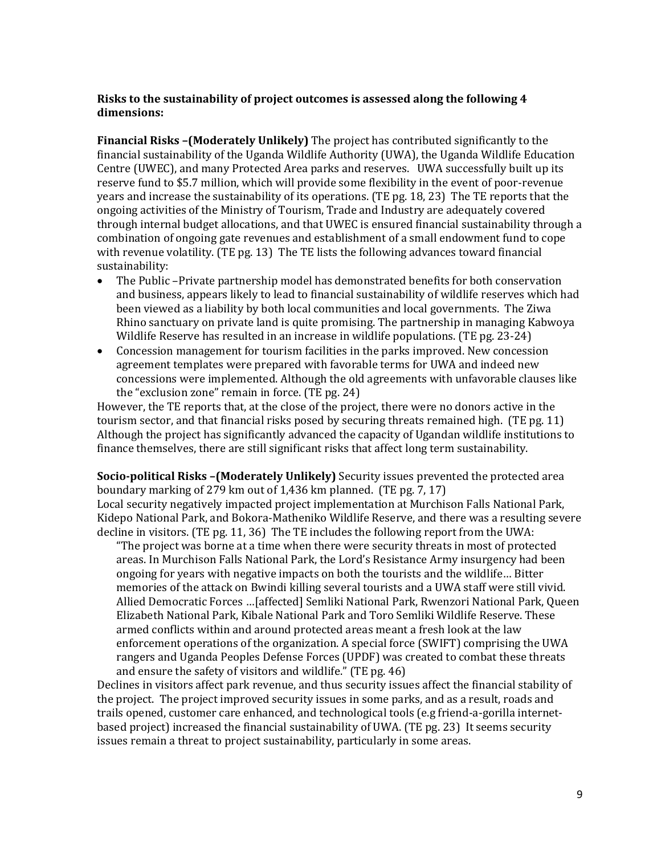#### **Risks to the sustainability of project outcomes is assessed along the following 4 dimensions:**

**Financial Risks –(Moderately Unlikely)** The project has contributed significantly to the financial sustainability of the Uganda Wildlife Authority (UWA), the Uganda Wildlife Education Centre (UWEC), and many Protected Area parks and reserves. UWA successfully built up its reserve fund to \$5.7 million, which will provide some flexibility in the event of poor-revenue years and increase the sustainability of its operations. (TE pg. 18, 23) The TE reports that the ongoing activities of the Ministry of Tourism, Trade and Industry are adequately covered through internal budget allocations, and that UWEC is ensured financial sustainability through a combination of ongoing gate revenues and establishment of a small endowment fund to cope with revenue volatility. (TE pg. 13) The TE lists the following advances toward financial sustainability:

- The Public –Private partnership model has demonstrated benefits for both conservation and business, appears likely to lead to financial sustainability of wildlife reserves which had been viewed as a liability by both local communities and local governments. The Ziwa Rhino sanctuary on private land is quite promising. The partnership in managing Kabwoya Wildlife Reserve has resulted in an increase in wildlife populations. (TE pg. 23-24)
- Concession management for tourism facilities in the parks improved. New concession agreement templates were prepared with favorable terms for UWA and indeed new concessions were implemented. Although the old agreements with unfavorable clauses like the "exclusion zone" remain in force. (TE pg. 24)

However, the TE reports that, at the close of the project, there were no donors active in the tourism sector, and that financial risks posed by securing threats remained high. (TE pg. 11) Although the project has significantly advanced the capacity of Ugandan wildlife institutions to finance themselves, there are still significant risks that affect long term sustainability.

**Socio-political Risks –(Moderately Unlikely)** Security issues prevented the protected area boundary marking of 279 km out of 1,436 km planned. (TE pg. 7, 17) Local security negatively impacted project implementation at Murchison Falls National Park, Kidepo National Park, and Bokora-Matheniko Wildlife Reserve, and there was a resulting severe

decline in visitors. (TE pg. 11, 36) The TE includes the following report from the UWA: "The project was borne at a time when there were security threats in most of protected areas. In Murchison Falls National Park, the Lord's Resistance Army insurgency had been ongoing for years with negative impacts on both the tourists and the wildlife… Bitter memories of the attack on Bwindi killing several tourists and a UWA staff were still vivid. Allied Democratic Forces …[affected] Semliki National Park, Rwenzori National Park, Queen Elizabeth National Park, Kibale National Park and Toro Semliki Wildlife Reserve. These armed conflicts within and around protected areas meant a fresh look at the law enforcement operations of the organization. A special force (SWIFT) comprising the UWA rangers and Uganda Peoples Defense Forces (UPDF) was created to combat these threats and ensure the safety of visitors and wildlife." (TE pg. 46)

Declines in visitors affect park revenue, and thus security issues affect the financial stability of the project. The project improved security issues in some parks, and as a result, roads and trails opened, customer care enhanced, and technological tools (e.g friend-a-gorilla internetbased project) increased the financial sustainability of UWA. (TE pg. 23) It seems security issues remain a threat to project sustainability, particularly in some areas.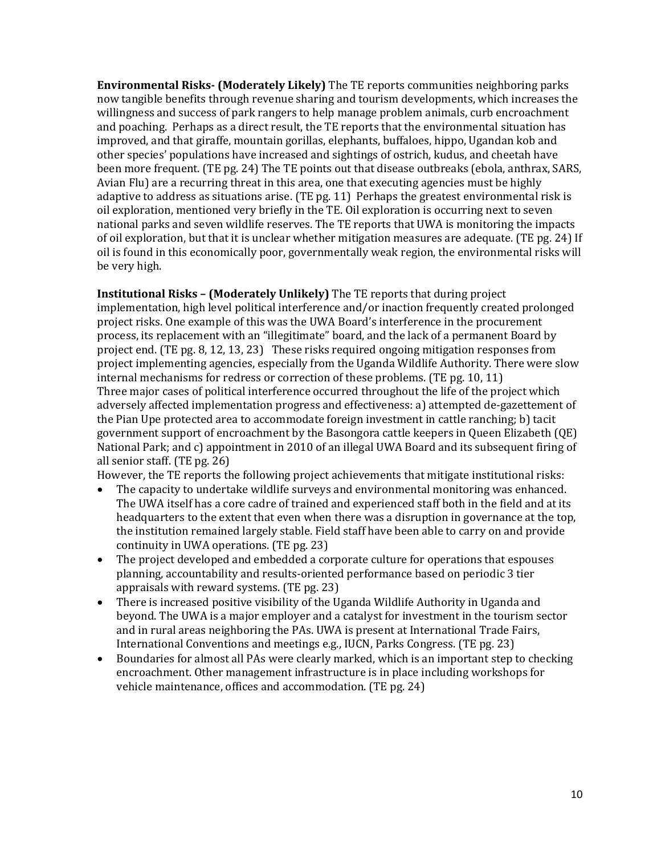**Environmental Risks- (Moderately Likely)** The TE reports communities neighboring parks now tangible benefits through revenue sharing and tourism developments, which increases the willingness and success of park rangers to help manage problem animals, curb encroachment and poaching. Perhaps as a direct result, the TE reports that the environmental situation has improved, and that giraffe, mountain gorillas, elephants, buffaloes, hippo, Ugandan kob and other species' populations have increased and sightings of ostrich, kudus, and cheetah have been more frequent. (TE pg. 24) The TE points out that disease outbreaks (ebola, anthrax, SARS, Avian Flu) are a recurring threat in this area, one that executing agencies must be highly adaptive to address as situations arise. (TE pg. 11) Perhaps the greatest environmental risk is oil exploration, mentioned very briefly in the TE. Oil exploration is occurring next to seven national parks and seven wildlife reserves. The TE reports that UWA is monitoring the impacts of oil exploration, but that it is unclear whether mitigation measures are adequate. (TE pg. 24) If oil is found in this economically poor, governmentally weak region, the environmental risks will be very high.

**Institutional Risks – (Moderately Unlikely)** The TE reports that during project implementation, high level political interference and/or inaction frequently created prolonged project risks. One example of this was the UWA Board's interference in the procurement process, its replacement with an "illegitimate" board, and the lack of a permanent Board by project end. (TE pg. 8, 12, 13, 23) These risks required ongoing mitigation responses from project implementing agencies, especially from the Uganda Wildlife Authority. There were slow internal mechanisms for redress or correction of these problems. (TE pg. 10, 11) Three major cases of political interference occurred throughout the life of the project which adversely affected implementation progress and effectiveness: a) attempted de-gazettement of the Pian Upe protected area to accommodate foreign investment in cattle ranching; b) tacit government support of encroachment by the Basongora cattle keepers in Queen Elizabeth (QE) National Park; and c) appointment in 2010 of an illegal UWA Board and its subsequent firing of all senior staff. (TE pg. 26)

However, the TE reports the following project achievements that mitigate institutional risks:

- The capacity to undertake wildlife surveys and environmental monitoring was enhanced. The UWA itself has a core cadre of trained and experienced staff both in the field and at its headquarters to the extent that even when there was a disruption in governance at the top, the institution remained largely stable. Field staff have been able to carry on and provide continuity in UWA operations. (TE pg. 23)
- The project developed and embedded a corporate culture for operations that espouses planning, accountability and results-oriented performance based on periodic 3 tier appraisals with reward systems. (TE pg. 23)
- There is increased positive visibility of the Uganda Wildlife Authority in Uganda and beyond. The UWA is a major employer and a catalyst for investment in the tourism sector and in rural areas neighboring the PAs. UWA is present at International Trade Fairs, International Conventions and meetings e.g., IUCN, Parks Congress. (TE pg. 23)
- Boundaries for almost all PAs were clearly marked, which is an important step to checking encroachment. Other management infrastructure is in place including workshops for vehicle maintenance, offices and accommodation. (TE pg. 24)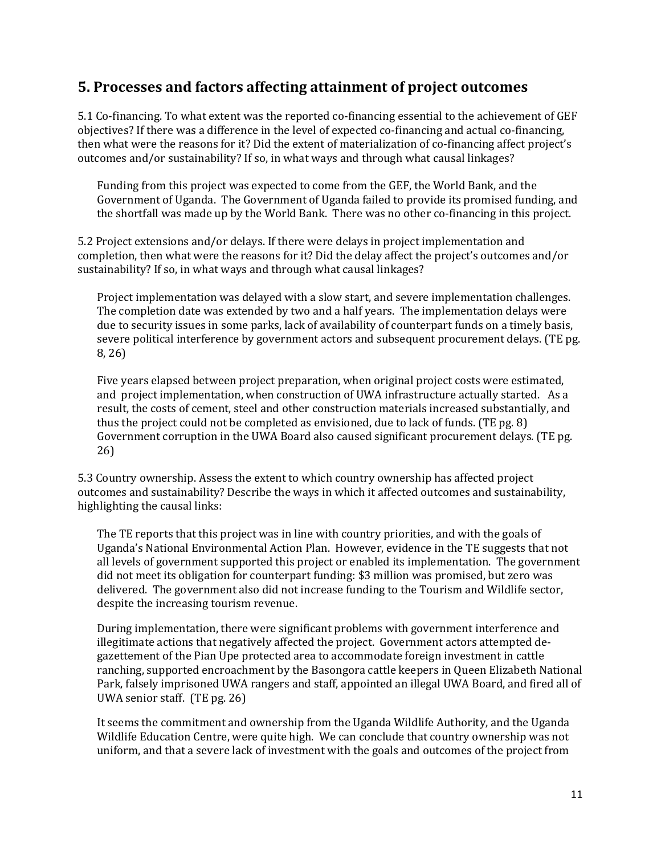#### **5. Processes and factors affecting attainment of project outcomes**

5.1 Co-financing. To what extent was the reported co-financing essential to the achievement of GEF objectives? If there was a difference in the level of expected co-financing and actual co-financing, then what were the reasons for it? Did the extent of materialization of co-financing affect project's outcomes and/or sustainability? If so, in what ways and through what causal linkages?

Funding from this project was expected to come from the GEF, the World Bank, and the Government of Uganda. The Government of Uganda failed to provide its promised funding, and the shortfall was made up by the World Bank. There was no other co-financing in this project.

5.2 Project extensions and/or delays. If there were delays in project implementation and completion, then what were the reasons for it? Did the delay affect the project's outcomes and/or sustainability? If so, in what ways and through what causal linkages?

Project implementation was delayed with a slow start, and severe implementation challenges. The completion date was extended by two and a half years. The implementation delays were due to security issues in some parks, lack of availability of counterpart funds on a timely basis, severe political interference by government actors and subsequent procurement delays. (TE pg. 8, 26)

Five years elapsed between project preparation, when original project costs were estimated, and project implementation, when construction of UWA infrastructure actually started. As a result, the costs of cement, steel and other construction materials increased substantially, and thus the project could not be completed as envisioned, due to lack of funds. (TE pg. 8) Government corruption in the UWA Board also caused significant procurement delays. (TE pg. 26)

5.3 Country ownership. Assess the extent to which country ownership has affected project outcomes and sustainability? Describe the ways in which it affected outcomes and sustainability, highlighting the causal links:

The TE reports that this project was in line with country priorities, and with the goals of Uganda's National Environmental Action Plan. However, evidence in the TE suggests that not all levels of government supported this project or enabled its implementation. The government did not meet its obligation for counterpart funding: \$3 million was promised, but zero was delivered. The government also did not increase funding to the Tourism and Wildlife sector, despite the increasing tourism revenue.

During implementation, there were significant problems with government interference and illegitimate actions that negatively affected the project. Government actors attempted degazettement of the Pian Upe protected area to accommodate foreign investment in cattle ranching, supported encroachment by the Basongora cattle keepers in Queen Elizabeth National Park, falsely imprisoned UWA rangers and staff, appointed an illegal UWA Board, and fired all of UWA senior staff. (TE pg. 26)

It seems the commitment and ownership from the Uganda Wildlife Authority, and the Uganda Wildlife Education Centre, were quite high. We can conclude that country ownership was not uniform, and that a severe lack of investment with the goals and outcomes of the project from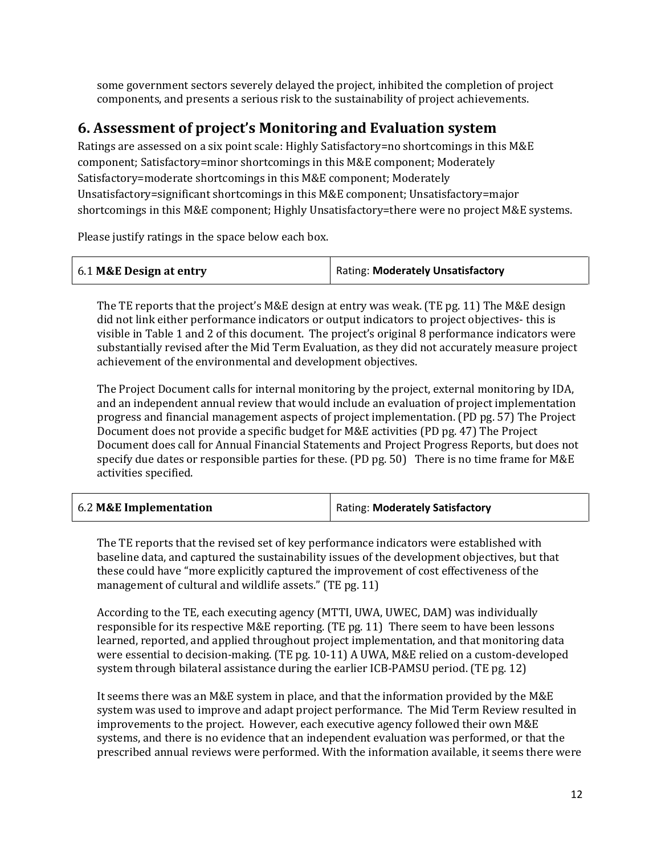some government sectors severely delayed the project, inhibited the completion of project components, and presents a serious risk to the sustainability of project achievements.

#### **6. Assessment of project's Monitoring and Evaluation system**

Ratings are assessed on a six point scale: Highly Satisfactory=no shortcomings in this M&E component; Satisfactory=minor shortcomings in this M&E component; Moderately Satisfactory=moderate shortcomings in this M&E component; Moderately Unsatisfactory=significant shortcomings in this M&E component; Unsatisfactory=major shortcomings in this M&E component; Highly Unsatisfactory=there were no project M&E systems.

Please justify ratings in the space below each box.

| 6.1 M&E Design at entry | Rating: Moderately Unsatisfactory |
|-------------------------|-----------------------------------|
|                         |                                   |

The TE reports that the project's M&E design at entry was weak. (TE pg. 11) The M&E design did not link either performance indicators or output indicators to project objectives- this is visible in Table 1 and 2 of this document. The project's original 8 performance indicators were substantially revised after the Mid Term Evaluation, as they did not accurately measure project achievement of the environmental and development objectives.

The Project Document calls for internal monitoring by the project, external monitoring by IDA, and an independent annual review that would include an evaluation of project implementation progress and financial management aspects of project implementation. (PD pg. 57) The Project Document does not provide a specific budget for M&E activities (PD pg. 47) The Project Document does call for Annual Financial Statements and Project Progress Reports, but does not specify due dates or responsible parties for these. (PD pg. 50) There is no time frame for M&E activities specified.

| 6.2 M&E Implementation | Rating: Moderately Satisfactory |
|------------------------|---------------------------------|
|------------------------|---------------------------------|

The TE reports that the revised set of key performance indicators were established with baseline data, and captured the sustainability issues of the development objectives, but that these could have "more explicitly captured the improvement of cost effectiveness of the management of cultural and wildlife assets." (TE pg. 11)

According to the TE, each executing agency (MTTI, UWA, UWEC, DAM) was individually responsible for its respective M&E reporting. (TE pg. 11) There seem to have been lessons learned, reported, and applied throughout project implementation, and that monitoring data were essential to decision-making. (TE pg. 10-11) A UWA, M&E relied on a custom-developed system through bilateral assistance during the earlier ICB-PAMSU period. (TE pg. 12)

It seems there was an M&E system in place, and that the information provided by the M&E system was used to improve and adapt project performance. The Mid Term Review resulted in improvements to the project. However, each executive agency followed their own M&E systems, and there is no evidence that an independent evaluation was performed, or that the prescribed annual reviews were performed. With the information available, it seems there were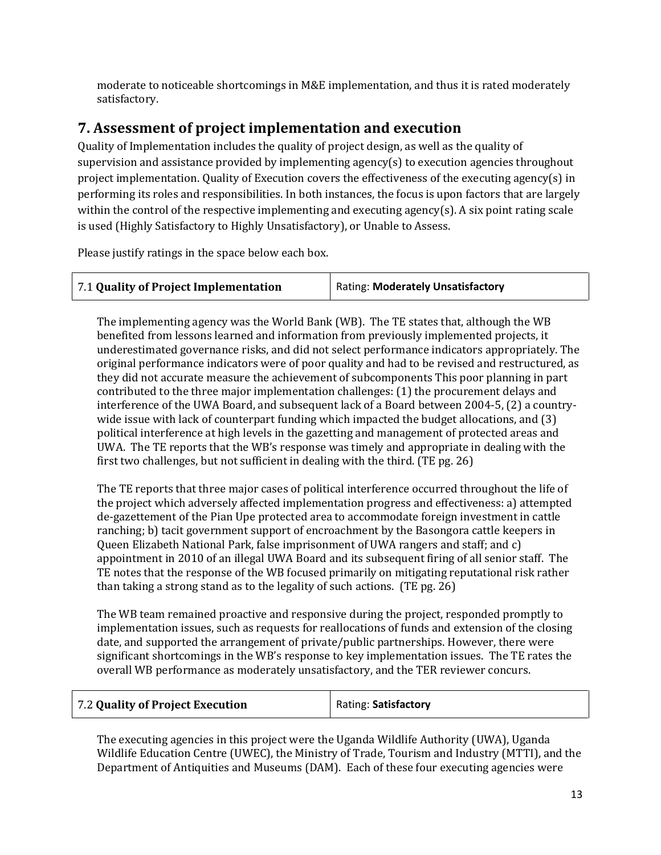moderate to noticeable shortcomings in M&E implementation, and thus it is rated moderately satisfactory.

#### **7. Assessment of project implementation and execution**

Quality of Implementation includes the quality of project design, as well as the quality of supervision and assistance provided by implementing agency(s) to execution agencies throughout project implementation. Quality of Execution covers the effectiveness of the executing agency(s) in performing its roles and responsibilities. In both instances, the focus is upon factors that are largely within the control of the respective implementing and executing agency(s). A six point rating scale is used (Highly Satisfactory to Highly Unsatisfactory), or Unable to Assess.

Please justify ratings in the space below each box.

| 7.1 Quality of Project Implementation | Rating: Moderately Unsatisfactory |
|---------------------------------------|-----------------------------------|
|                                       |                                   |

The implementing agency was the World Bank (WB). The TE states that, although the WB benefited from lessons learned and information from previously implemented projects, it underestimated governance risks, and did not select performance indicators appropriately. The original performance indicators were of poor quality and had to be revised and restructured, as they did not accurate measure the achievement of subcomponents This poor planning in part contributed to the three major implementation challenges: (1) the procurement delays and interference of the UWA Board, and subsequent lack of a Board between 2004-5, (2) a countrywide issue with lack of counterpart funding which impacted the budget allocations, and (3) political interference at high levels in the gazetting and management of protected areas and UWA. The TE reports that the WB's response was timely and appropriate in dealing with the first two challenges, but not sufficient in dealing with the third. (TE pg. 26)

The TE reports that three major cases of political interference occurred throughout the life of the project which adversely affected implementation progress and effectiveness: a) attempted de-gazettement of the Pian Upe protected area to accommodate foreign investment in cattle ranching; b) tacit government support of encroachment by the Basongora cattle keepers in Queen Elizabeth National Park, false imprisonment of UWA rangers and staff; and c) appointment in 2010 of an illegal UWA Board and its subsequent firing of all senior staff. The TE notes that the response of the WB focused primarily on mitigating reputational risk rather than taking a strong stand as to the legality of such actions. (TE pg. 26)

The WB team remained proactive and responsive during the project, responded promptly to implementation issues, such as requests for reallocations of funds and extension of the closing date, and supported the arrangement of private/public partnerships. However, there were significant shortcomings in the WB's response to key implementation issues. The TE rates the overall WB performance as moderately unsatisfactory, and the TER reviewer concurs.

| 7.2 Quality of Project Execution | Rating: Satisfactory |
|----------------------------------|----------------------|
|----------------------------------|----------------------|

The executing agencies in this project were the Uganda Wildlife Authority (UWA), Uganda Wildlife Education Centre (UWEC), the Ministry of Trade, Tourism and Industry (MTTI), and the Department of Antiquities and Museums (DAM). Each of these four executing agencies were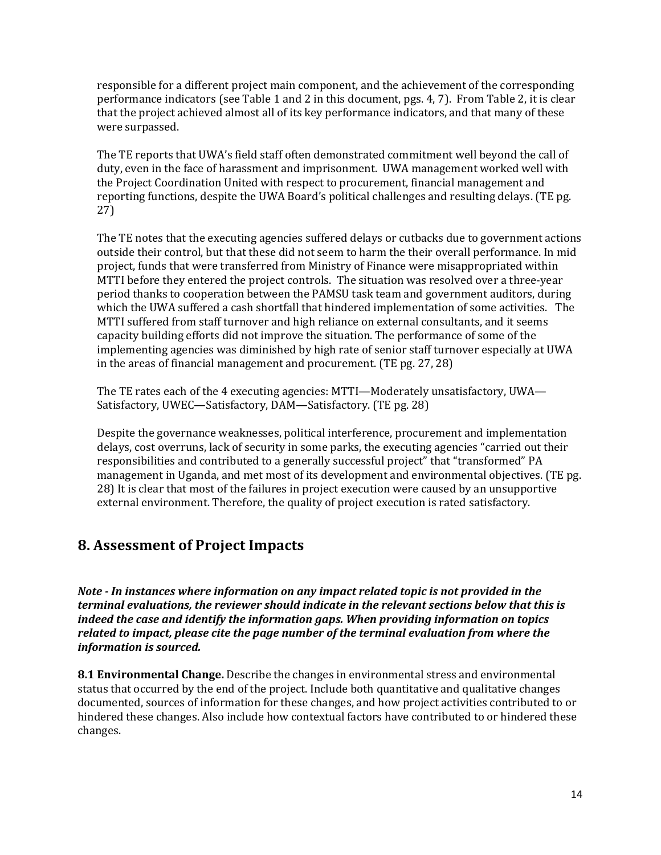responsible for a different project main component, and the achievement of the corresponding performance indicators (see Table 1 and 2 in this document, pgs. 4, 7). From Table 2, it is clear that the project achieved almost all of its key performance indicators, and that many of these were surpassed.

The TE reports that UWA's field staff often demonstrated commitment well beyond the call of duty, even in the face of harassment and imprisonment. UWA management worked well with the Project Coordination United with respect to procurement, financial management and reporting functions, despite the UWA Board's political challenges and resulting delays. (TE pg. 27)

The TE notes that the executing agencies suffered delays or cutbacks due to government actions outside their control, but that these did not seem to harm the their overall performance. In mid project, funds that were transferred from Ministry of Finance were misappropriated within MTTI before they entered the project controls. The situation was resolved over a three-year period thanks to cooperation between the PAMSU task team and government auditors, during which the UWA suffered a cash shortfall that hindered implementation of some activities. The MTTI suffered from staff turnover and high reliance on external consultants, and it seems capacity building efforts did not improve the situation. The performance of some of the implementing agencies was diminished by high rate of senior staff turnover especially at UWA in the areas of financial management and procurement. (TE pg. 27, 28)

The TE rates each of the 4 executing agencies: MTTI—Moderately unsatisfactory, UWA— Satisfactory, UWEC—Satisfactory, DAM—Satisfactory. (TE pg. 28)

Despite the governance weaknesses, political interference, procurement and implementation delays, cost overruns, lack of security in some parks, the executing agencies "carried out their responsibilities and contributed to a generally successful project" that "transformed" PA management in Uganda, and met most of its development and environmental objectives. (TE pg. 28) It is clear that most of the failures in project execution were caused by an unsupportive external environment. Therefore, the quality of project execution is rated satisfactory.

#### **8. Assessment of Project Impacts**

*Note - In instances where information on any impact related topic is not provided in the terminal evaluations, the reviewer should indicate in the relevant sections below that this is indeed the case and identify the information gaps. When providing information on topics related to impact, please cite the page number of the terminal evaluation from where the information is sourced.* 

**8.1 Environmental Change.** Describe the changes in environmental stress and environmental status that occurred by the end of the project. Include both quantitative and qualitative changes documented, sources of information for these changes, and how project activities contributed to or hindered these changes. Also include how contextual factors have contributed to or hindered these changes.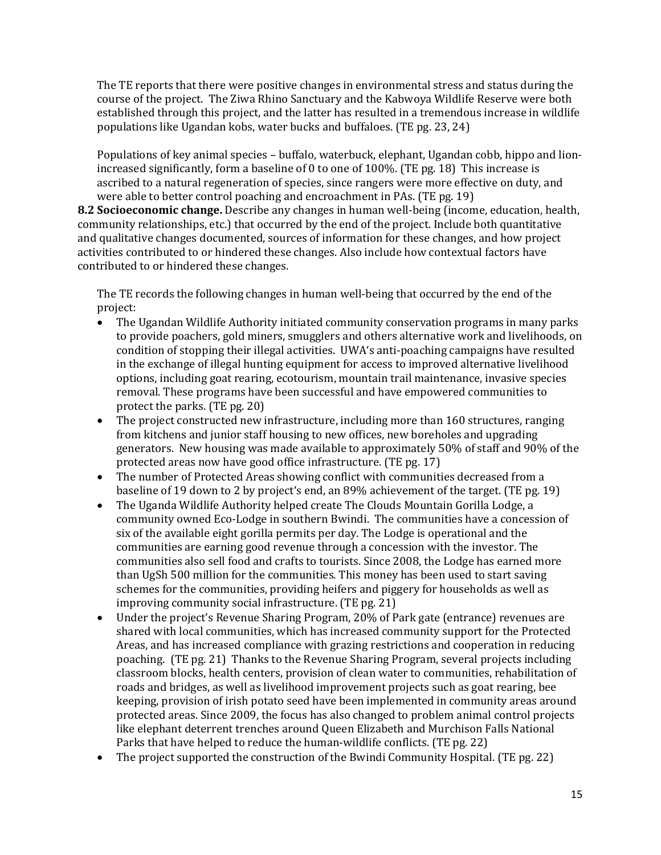The TE reports that there were positive changes in environmental stress and status during the course of the project. The Ziwa Rhino Sanctuary and the Kabwoya Wildlife Reserve were both established through this project, and the latter has resulted in a tremendous increase in wildlife populations like Ugandan kobs, water bucks and buffaloes. (TE pg. 23, 24)

Populations of key animal species – buffalo, waterbuck, elephant, Ugandan cobb, hippo and lionincreased significantly, form a baseline of 0 to one of 100%. (TE pg. 18) This increase is ascribed to a natural regeneration of species, since rangers were more effective on duty, and were able to better control poaching and encroachment in PAs. (TE pg. 19)

**8.2 Socioeconomic change.** Describe any changes in human well-being (income, education, health, community relationships, etc.) that occurred by the end of the project. Include both quantitative and qualitative changes documented, sources of information for these changes, and how project activities contributed to or hindered these changes. Also include how contextual factors have contributed to or hindered these changes.

The TE records the following changes in human well-being that occurred by the end of the project:

- The Ugandan Wildlife Authority initiated community conservation programs in many parks to provide poachers, gold miners, smugglers and others alternative work and livelihoods, on condition of stopping their illegal activities. UWA's anti-poaching campaigns have resulted in the exchange of illegal hunting equipment for access to improved alternative livelihood options, including goat rearing, ecotourism, mountain trail maintenance, invasive species removal. These programs have been successful and have empowered communities to protect the parks. (TE pg. 20)
- The project constructed new infrastructure, including more than 160 structures, ranging from kitchens and junior staff housing to new offices, new boreholes and upgrading generators. New housing was made available to approximately 50% of staff and 90% of the protected areas now have good office infrastructure. (TE pg. 17)
- The number of Protected Areas showing conflict with communities decreased from a baseline of 19 down to 2 by project's end, an 89% achievement of the target. (TE pg. 19)
- The Uganda Wildlife Authority helped create The Clouds Mountain Gorilla Lodge, a community owned Eco-Lodge in southern Bwindi. The communities have a concession of six of the available eight gorilla permits per day. The Lodge is operational and the communities are earning good revenue through a concession with the investor. The communities also sell food and crafts to tourists. Since 2008, the Lodge has earned more than UgSh 500 million for the communities. This money has been used to start saving schemes for the communities, providing heifers and piggery for households as well as improving community social infrastructure. (TE pg. 21)
- Under the project's Revenue Sharing Program, 20% of Park gate (entrance) revenues are shared with local communities, which has increased community support for the Protected Areas, and has increased compliance with grazing restrictions and cooperation in reducing poaching. (TE pg. 21) Thanks to the Revenue Sharing Program, several projects including classroom blocks, health centers, provision of clean water to communities, rehabilitation of roads and bridges, as well as livelihood improvement projects such as goat rearing, bee keeping, provision of irish potato seed have been implemented in community areas around protected areas. Since 2009, the focus has also changed to problem animal control projects like elephant deterrent trenches around Queen Elizabeth and Murchison Falls National Parks that have helped to reduce the human-wildlife conflicts. (TE pg. 22)
- The project supported the construction of the Bwindi Community Hospital. (TE pg. 22)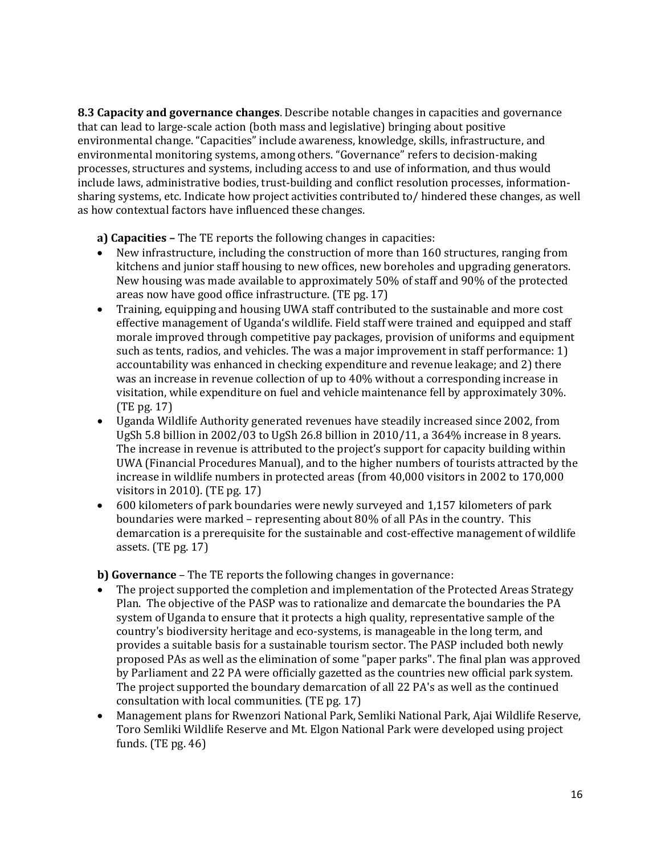**8.3 Capacity and governance changes**. Describe notable changes in capacities and governance that can lead to large-scale action (both mass and legislative) bringing about positive environmental change. "Capacities" include awareness, knowledge, skills, infrastructure, and environmental monitoring systems, among others. "Governance" refers to decision-making processes, structures and systems, including access to and use of information, and thus would include laws, administrative bodies, trust-building and conflict resolution processes, informationsharing systems, etc. Indicate how project activities contributed to/ hindered these changes, as well as how contextual factors have influenced these changes.

**a) Capacities –** The TE reports the following changes in capacities:

- New infrastructure, including the construction of more than 160 structures, ranging from kitchens and junior staff housing to new offices, new boreholes and upgrading generators. New housing was made available to approximately 50% of staff and 90% of the protected areas now have good office infrastructure. (TE pg. 17)
- Training, equipping and housing UWA staff contributed to the sustainable and more cost effective management of Uganda's wildlife. Field staff were trained and equipped and staff morale improved through competitive pay packages, provision of uniforms and equipment such as tents, radios, and vehicles. The was a major improvement in staff performance: 1) accountability was enhanced in checking expenditure and revenue leakage; and 2) there was an increase in revenue collection of up to 40% without a corresponding increase in visitation, while expenditure on fuel and vehicle maintenance fell by approximately 30%. (TE pg. 17)
- Uganda Wildlife Authority generated revenues have steadily increased since 2002, from UgSh 5.8 billion in 2002/03 to UgSh 26.8 billion in 2010/11, a 364% increase in 8 years. The increase in revenue is attributed to the project's support for capacity building within UWA (Financial Procedures Manual), and to the higher numbers of tourists attracted by the increase in wildlife numbers in protected areas (from 40,000 visitors in 2002 to 170,000 visitors in 2010). (TE pg. 17)
- 600 kilometers of park boundaries were newly surveyed and 1,157 kilometers of park boundaries were marked – representing about 80% of all PAs in the country. This demarcation is a prerequisite for the sustainable and cost-effective management of wildlife assets. (TE pg. 17)

**b) Governance** – The TE reports the following changes in governance:

- The project supported the completion and implementation of the Protected Areas Strategy Plan. The objective of the PASP was to rationalize and demarcate the boundaries the PA system of Uganda to ensure that it protects a high quality, representative sample of the country's biodiversity heritage and eco-systems, is manageable in the long term, and provides a suitable basis for a sustainable tourism sector. The PASP included both newly proposed PAs as well as the elimination of some "paper parks". The final plan was approved by Parliament and 22 PA were officially gazetted as the countries new official park system. The project supported the boundary demarcation of all 22 PA's as well as the continued consultation with local communities. (TE pg. 17)
- Management plans for Rwenzori National Park, Semliki National Park, Ajai Wildlife Reserve, Toro Semliki Wildlife Reserve and Mt. Elgon National Park were developed using project funds. (TE pg. 46)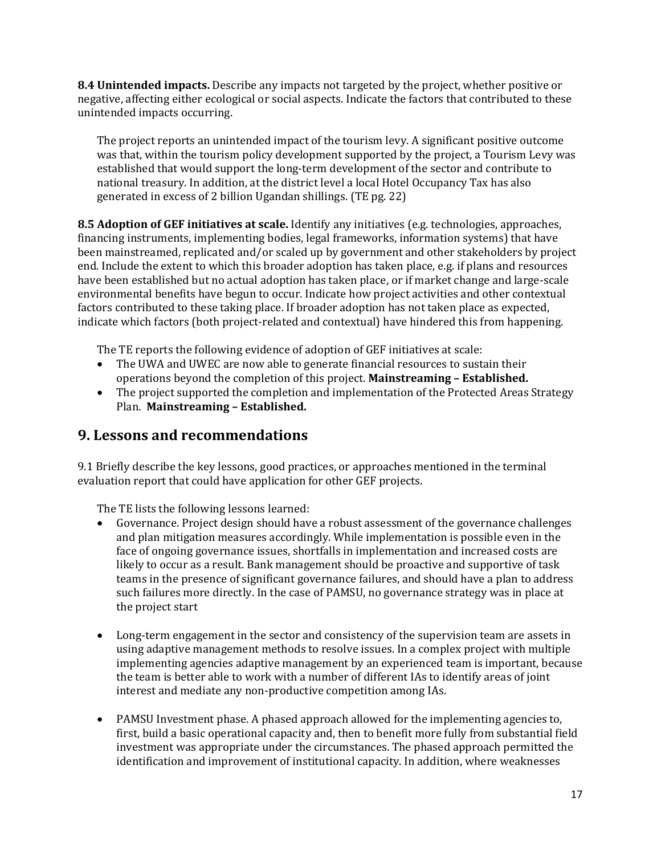**8.4 Unintended impacts.** Describe any impacts not targeted by the project, whether positive or negative, affecting either ecological or social aspects. Indicate the factors that contributed to these unintended impacts occurring.

The project reports an unintended impact of the tourism levy. A significant positive outcome was that, within the tourism policy development supported by the project, a Tourism Levy was established that would support the long-term development of the sector and contribute to national treasury. In addition, at the district level a local Hotel Occupancy Tax has also generated in excess of 2 billion Ugandan shillings. (TE pg. 22)

**8.5 Adoption of GEF initiatives at scale.** Identify any initiatives (e.g. technologies, approaches, financing instruments, implementing bodies, legal frameworks, information systems) that have been mainstreamed, replicated and/or scaled up by government and other stakeholders by project end. Include the extent to which this broader adoption has taken place, e.g. if plans and resources have been established but no actual adoption has taken place, or if market change and large-scale environmental benefits have begun to occur. Indicate how project activities and other contextual factors contributed to these taking place. If broader adoption has not taken place as expected, indicate which factors (both project-related and contextual) have hindered this from happening.

The TE reports the following evidence of adoption of GEF initiatives at scale:

- The UWA and UWEC are now able to generate financial resources to sustain their operations beyond the completion of this project. **Mainstreaming – Established.**
- The project supported the completion and implementation of the Protected Areas Strategy Plan. **Mainstreaming – Established.**

#### **9. Lessons and recommendations**

9.1 Briefly describe the key lessons, good practices, or approaches mentioned in the terminal evaluation report that could have application for other GEF projects.

The TE lists the following lessons learned:

- Governance. Project design should have a robust assessment of the governance challenges and plan mitigation measures accordingly. While implementation is possible even in the face of ongoing governance issues, shortfalls in implementation and increased costs are likely to occur as a result. Bank management should be proactive and supportive of task teams in the presence of significant governance failures, and should have a plan to address such failures more directly. In the case of PAMSU, no governance strategy was in place at the project start
- Long-term engagement in the sector and consistency of the supervision team are assets in using adaptive management methods to resolve issues. In a complex project with multiple implementing agencies adaptive management by an experienced team is important, because the team is better able to work with a number of different IAs to identify areas of joint interest and mediate any non-productive competition among IAs.
- PAMSU Investment phase. A phased approach allowed for the implementing agencies to, first, build a basic operational capacity and, then to benefit more fully from substantial field investment was appropriate under the circumstances. The phased approach permitted the identification and improvement of institutional capacity. In addition, where weaknesses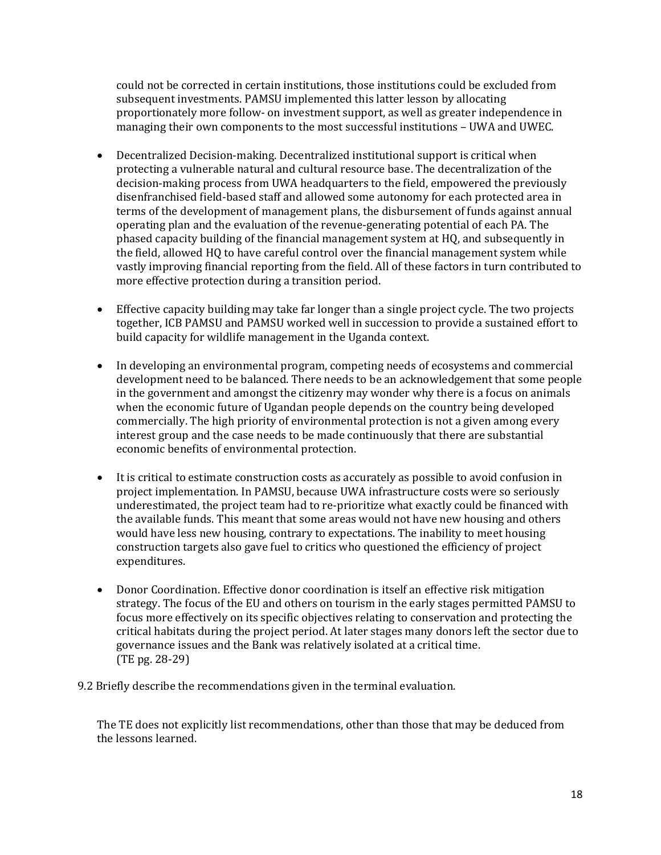could not be corrected in certain institutions, those institutions could be excluded from subsequent investments. PAMSU implemented this latter lesson by allocating proportionately more follow- on investment support, as well as greater independence in managing their own components to the most successful institutions – UWA and UWEC.

- Decentralized Decision-making. Decentralized institutional support is critical when protecting a vulnerable natural and cultural resource base. The decentralization of the decision-making process from UWA headquarters to the field, empowered the previously disenfranchised field-based staff and allowed some autonomy for each protected area in terms of the development of management plans, the disbursement of funds against annual operating plan and the evaluation of the revenue-generating potential of each PA. The phased capacity building of the financial management system at HQ, and subsequently in the field, allowed HQ to have careful control over the financial management system while vastly improving financial reporting from the field. All of these factors in turn contributed to more effective protection during a transition period.
- Effective capacity building may take far longer than a single project cycle. The two projects together, ICB PAMSU and PAMSU worked well in succession to provide a sustained effort to build capacity for wildlife management in the Uganda context.
- In developing an environmental program, competing needs of ecosystems and commercial development need to be balanced. There needs to be an acknowledgement that some people in the government and amongst the citizenry may wonder why there is a focus on animals when the economic future of Ugandan people depends on the country being developed commercially. The high priority of environmental protection is not a given among every interest group and the case needs to be made continuously that there are substantial economic benefits of environmental protection.
- It is critical to estimate construction costs as accurately as possible to avoid confusion in project implementation. In PAMSU, because UWA infrastructure costs were so seriously underestimated, the project team had to re-prioritize what exactly could be financed with the available funds. This meant that some areas would not have new housing and others would have less new housing, contrary to expectations. The inability to meet housing construction targets also gave fuel to critics who questioned the efficiency of project expenditures.
- Donor Coordination. Effective donor coordination is itself an effective risk mitigation strategy. The focus of the EU and others on tourism in the early stages permitted PAMSU to focus more effectively on its specific objectives relating to conservation and protecting the critical habitats during the project period. At later stages many donors left the sector due to governance issues and the Bank was relatively isolated at a critical time. (TE pg. 28-29)

9.2 Briefly describe the recommendations given in the terminal evaluation.

The TE does not explicitly list recommendations, other than those that may be deduced from the lessons learned.